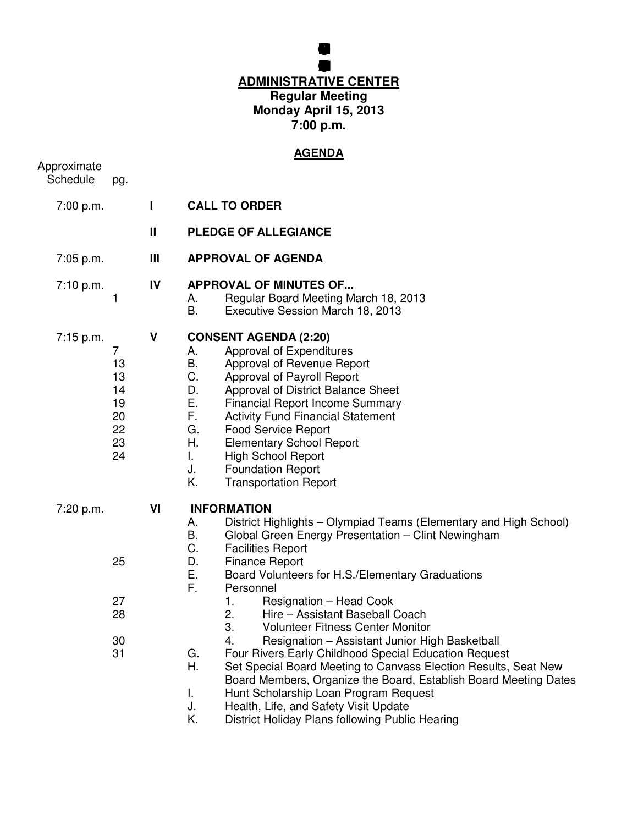## **BOARD FEUCATION MEG ADMINISTRATIVE CENTER Regular Meeting Monday April 15, 2013 7:00 p.m.**

**GRENFILD COMUNITY SCHOL**

# **AGENDA**

| Approximate<br><b>Schedule</b> | pg.                                                            |              | <u>AGENDA</u>                                                                                                                                                                                                                                                                                                                                                                                                                                                                                                                                                                                                                                                                                                                                                                                                                                                 |
|--------------------------------|----------------------------------------------------------------|--------------|---------------------------------------------------------------------------------------------------------------------------------------------------------------------------------------------------------------------------------------------------------------------------------------------------------------------------------------------------------------------------------------------------------------------------------------------------------------------------------------------------------------------------------------------------------------------------------------------------------------------------------------------------------------------------------------------------------------------------------------------------------------------------------------------------------------------------------------------------------------|
| 7:00 p.m.                      |                                                                | L            | <b>CALL TO ORDER</b>                                                                                                                                                                                                                                                                                                                                                                                                                                                                                                                                                                                                                                                                                                                                                                                                                                          |
|                                |                                                                | $\mathbf{I}$ | <b>PLEDGE OF ALLEGIANCE</b>                                                                                                                                                                                                                                                                                                                                                                                                                                                                                                                                                                                                                                                                                                                                                                                                                                   |
| 7:05 p.m.                      |                                                                | Ш            | <b>APPROVAL OF AGENDA</b>                                                                                                                                                                                                                                                                                                                                                                                                                                                                                                                                                                                                                                                                                                                                                                                                                                     |
| 7:10 p.m.                      | 1                                                              | IV           | <b>APPROVAL OF MINUTES OF</b><br>Regular Board Meeting March 18, 2013<br>А.<br>Executive Session March 18, 2013<br>В.                                                                                                                                                                                                                                                                                                                                                                                                                                                                                                                                                                                                                                                                                                                                         |
| $7:15$ p.m.                    | $\overline{7}$<br>13<br>13<br>14<br>19<br>20<br>22<br>23<br>24 | V            | <b>CONSENT AGENDA (2:20)</b><br>Approval of Expenditures<br>А.<br>Β.<br>Approval of Revenue Report<br>C.<br>Approval of Payroll Report<br>D.<br>Approval of District Balance Sheet<br>Ε.<br><b>Financial Report Income Summary</b><br>F.<br><b>Activity Fund Financial Statement</b><br>G.<br><b>Food Service Report</b><br>Η.<br><b>Elementary School Report</b><br>L.<br><b>High School Report</b><br>J.<br><b>Foundation Report</b><br>Κ.<br><b>Transportation Report</b>                                                                                                                                                                                                                                                                                                                                                                                  |
| 7:20 p.m.                      | 25<br>27<br>28<br>30<br>31                                     | VI           | <b>INFORMATION</b><br>District Highlights – Olympiad Teams (Elementary and High School)<br>А.<br>В.<br>Global Green Energy Presentation - Clint Newingham<br>C.<br><b>Facilities Report</b><br>D.<br><b>Finance Report</b><br>Е.<br>Board Volunteers for H.S./Elementary Graduations<br>F.<br>Personnel<br>1.<br>Resignation - Head Cook<br>2.<br>Hire - Assistant Baseball Coach<br>3.<br><b>Volunteer Fitness Center Monitor</b><br>4.<br>Resignation - Assistant Junior High Basketball<br>Four Rivers Early Childhood Special Education Request<br>G.<br>Η.<br>Set Special Board Meeting to Canvass Election Results, Seat New<br>Board Members, Organize the Board, Establish Board Meeting Dates<br>Hunt Scholarship Loan Program Request<br>T.<br>J.<br>Health, Life, and Safety Visit Update<br>Κ.<br>District Holiday Plans following Public Hearing |